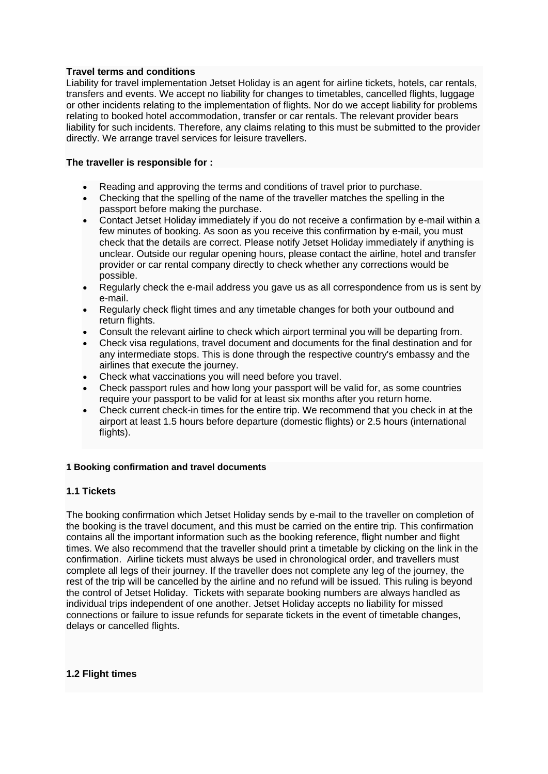## **Travel terms and conditions**

Liability for travel implementation Jetset Holiday is an agent for airline tickets, hotels, car rentals, transfers and events. We accept no liability for changes to timetables, cancelled flights, luggage or other incidents relating to the implementation of flights. Nor do we accept liability for problems relating to booked hotel accommodation, transfer or car rentals. The relevant provider bears liability for such incidents. Therefore, any claims relating to this must be submitted to the provider directly. We arrange travel services for leisure travellers.

#### **The traveller is responsible for :**

- Reading and approving the terms and conditions of travel prior to purchase.
- Checking that the spelling of the name of the traveller matches the spelling in the passport before making the purchase.
- Contact Jetset Holiday immediately if you do not receive a confirmation by e-mail within a few minutes of booking. As soon as you receive this confirmation by e-mail, you must check that the details are correct. Please notify Jetset Holiday immediately if anything is unclear. Outside our regular opening hours, please contact the airline, hotel and transfer provider or car rental company directly to check whether any corrections would be possible.
- Regularly check the e-mail address you gave us as all correspondence from us is sent by e-mail.
- Regularly check flight times and any timetable changes for both your outbound and return flights.
- Consult the relevant airline to check which airport terminal you will be departing from.
- Check visa regulations, travel document and documents for the final destination and for any intermediate stops. This is done through the respective country's embassy and the airlines that execute the journey.
- Check what vaccinations you will need before you travel.
- Check passport rules and how long your passport will be valid for, as some countries require your passport to be valid for at least six months after you return home.
- Check current check-in times for the entire trip. We recommend that you check in at the airport at least 1.5 hours before departure (domestic flights) or 2.5 hours (international flights).

#### **1 Booking confirmation and travel documents**

#### **1.1 Tickets**

The booking confirmation which Jetset Holiday sends by e-mail to the traveller on completion of the booking is the travel document, and this must be carried on the entire trip. This confirmation contains all the important information such as the booking reference, flight number and flight times. We also recommend that the traveller should print a timetable by clicking on the link in the confirmation. Airline tickets must always be used in chronological order, and travellers must complete all legs of their journey. If the traveller does not complete any leg of the journey, the rest of the trip will be cancelled by the airline and no refund will be issued. This ruling is beyond the control of Jetset Holiday. Tickets with separate booking numbers are always handled as individual trips independent of one another. Jetset Holiday accepts no liability for missed connections or failure to issue refunds for separate tickets in the event of timetable changes, delays or cancelled flights.

#### **1.2 Flight times**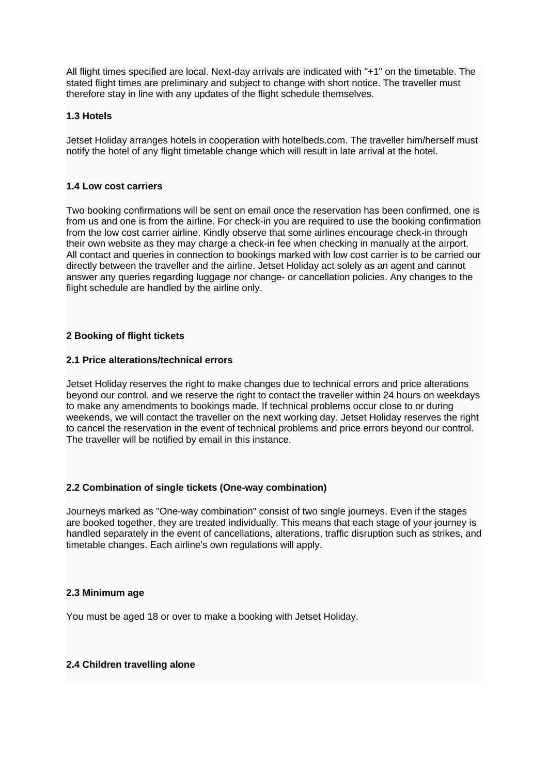All flight times specified are local. Next-day arrivals are indicated with "+1" on the timetable. The stated flight times are preliminary and subject to change with short notice. The traveller must therefore stay in line with any updates of the flight schedule themselves.

## **1.3 Hotels**

Jetset Holiday arranges hotels in cooperation with hotelbeds.com. The traveller him/herself must notify the hotel of any flight timetable change which will result in late arrival at the hotel.

## **1.4 Low cost carriers**

Two booking confirmations will be sent on email once the reservation has been confirmed, one is from us and one is from the airline. For check-in you are required to use the booking confirmation from the low cost carrier airline. Kindly observe that some airlines encourage check-in through their own website as they may charge a check-in fee when checking in manually at the airport. All contact and queries in connection to bookings marked with low cost carrier is to be carried our directly between the traveller and the airline. Jetset Holiday act solely as an agent and cannot answer any queries regarding luggage nor change- or cancellation policies. Any changes to the flight schedule are handled by the airline only.

## **2 Booking of flight tickets**

#### **2.1 Price alterations/technical errors**

Jetset Holiday reserves the right to make changes due to technical errors and price alterations beyond our control, and we reserve the right to contact the traveller within 24 hours on weekdays to make any amendments to bookings made. If technical problems occur close to or during weekends, we will contact the traveller on the next working day. Jetset Holiday reserves the right to cancel the reservation in the event of technical problems and price errors beyond our control. The traveller will be notified by email in this instance.

## **2.2 Combination of single tickets (One-way combination)**

Journeys marked as "One-way combination" consist of two single journeys. Even if the stages are booked together, they are treated individually. This means that each stage of your journey is handled separately in the event of cancellations, alterations, traffic disruption such as strikes, and timetable changes. Each airline's own regulations will apply.

#### **2.3 Minimum age**

You must be aged 18 or over to make a booking with Jetset Holiday.

## **2.4 Children travelling alone**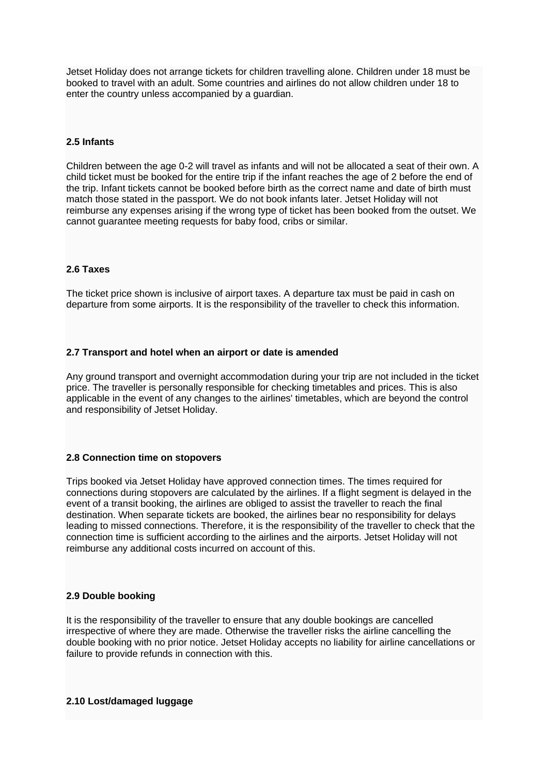Jetset Holiday does not arrange tickets for children travelling alone. Children under 18 must be booked to travel with an adult. Some countries and airlines do not allow children under 18 to enter the country unless accompanied by a guardian.

## **2.5 Infants**

Children between the age 0-2 will travel as infants and will not be allocated a seat of their own. A child ticket must be booked for the entire trip if the infant reaches the age of 2 before the end of the trip. Infant tickets cannot be booked before birth as the correct name and date of birth must match those stated in the passport. We do not book infants later. Jetset Holiday will not reimburse any expenses arising if the wrong type of ticket has been booked from the outset. We cannot guarantee meeting requests for baby food, cribs or similar.

### **2.6 Taxes**

The ticket price shown is inclusive of airport taxes. A departure tax must be paid in cash on departure from some airports. It is the responsibility of the traveller to check this information.

#### **2.7 Transport and hotel when an airport or date is amended**

Any ground transport and overnight accommodation during your trip are not included in the ticket price. The traveller is personally responsible for checking timetables and prices. This is also applicable in the event of any changes to the airlines' timetables, which are beyond the control and responsibility of Jetset Holiday.

#### **2.8 Connection time on stopovers**

Trips booked via Jetset Holiday have approved connection times. The times required for connections during stopovers are calculated by the airlines. If a flight segment is delayed in the event of a transit booking, the airlines are obliged to assist the traveller to reach the final destination. When separate tickets are booked, the airlines bear no responsibility for delays leading to missed connections. Therefore, it is the responsibility of the traveller to check that the connection time is sufficient according to the airlines and the airports. Jetset Holiday will not reimburse any additional costs incurred on account of this.

#### **2.9 Double booking**

It is the responsibility of the traveller to ensure that any double bookings are cancelled irrespective of where they are made. Otherwise the traveller risks the airline cancelling the double booking with no prior notice. Jetset Holiday accepts no liability for airline cancellations or failure to provide refunds in connection with this.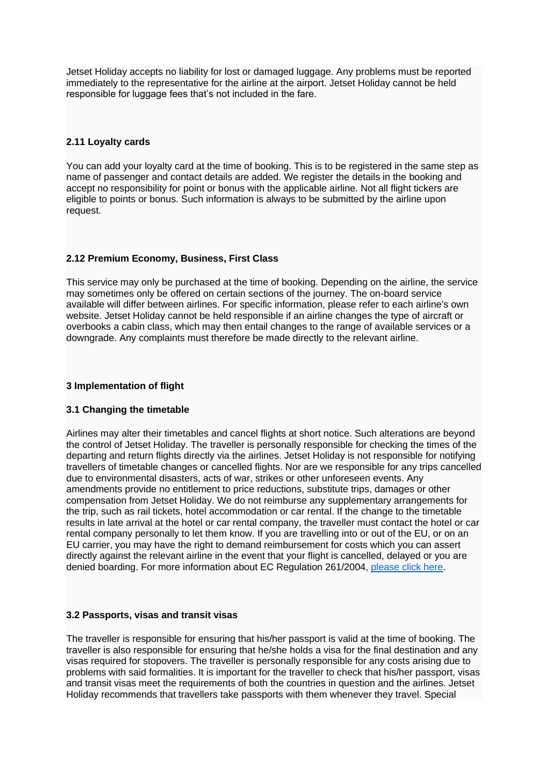Jetset Holiday accepts no liability for lost or damaged luggage. Any problems must be reported immediately to the representative for the airline at the airport. Jetset Holiday cannot be held responsible for luggage fees that's not included in the fare.

## **2.11 Loyalty cards**

You can add your loyalty card at the time of booking. This is to be registered in the same step as name of passenger and contact details are added. We register the details in the booking and accept no responsibility for point or bonus with the applicable airline. Not all flight tickers are eligible to points or bonus. Such information is always to be submitted by the airline upon request.

## **2.12 Premium Economy, Business, First Class**

This service may only be purchased at the time of booking. Depending on the airline, the service may sometimes only be offered on certain sections of the journey. The on-board service available will differ between airlines. For specific information, please refer to each airline's own website. Jetset Holiday cannot be held responsible if an airline changes the type of aircraft or overbooks a cabin class, which may then entail changes to the range of available services or a downgrade. Any complaints must therefore be made directly to the relevant airline.

## **3 Implementation of flight**

## **3.1 Changing the timetable**

Airlines may alter their timetables and cancel flights at short notice. Such alterations are beyond the control of Jetset Holiday. The traveller is personally responsible for checking the times of the departing and return flights directly via the airlines. Jetset Holiday is not responsible for notifying travellers of timetable changes or cancelled flights. Nor are we responsible for any trips cancelled due to environmental disasters, acts of war, strikes or other unforeseen events. Any amendments provide no entitlement to price reductions, substitute trips, damages or other compensation from Jetset Holiday. We do not reimburse any supplementary arrangements for the trip, such as rail tickets, hotel accommodation or car rental. If the change to the timetable results in late arrival at the hotel or car rental company, the traveller must contact the hotel or car rental company personally to let them know. If you are travelling into or out of the EU, or on an EU carrier, you may have the right to demand reimbursement for costs which you can assert directly against the relevant airline in the event that your flight is cancelled, delayed or you are denied boarding. For more information about EC Regulation 261/2004, please [click here.](http://eur-lex.europa.eu/legal-content/EN/ALL/?uri=CELEX%3A32004R0261)

#### **3.2 Passports, visas and transit visas**

The traveller is responsible for ensuring that his/her passport is valid at the time of booking. The traveller is also responsible for ensuring that he/she holds a visa for the final destination and any visas required for stopovers. The traveller is personally responsible for any costs arising due to problems with said formalities. It is important for the traveller to check that his/her passport, visas and transit visas meet the requirements of both the countries in question and the airlines. Jetset Holiday recommends that travellers take passports with them whenever they travel. Special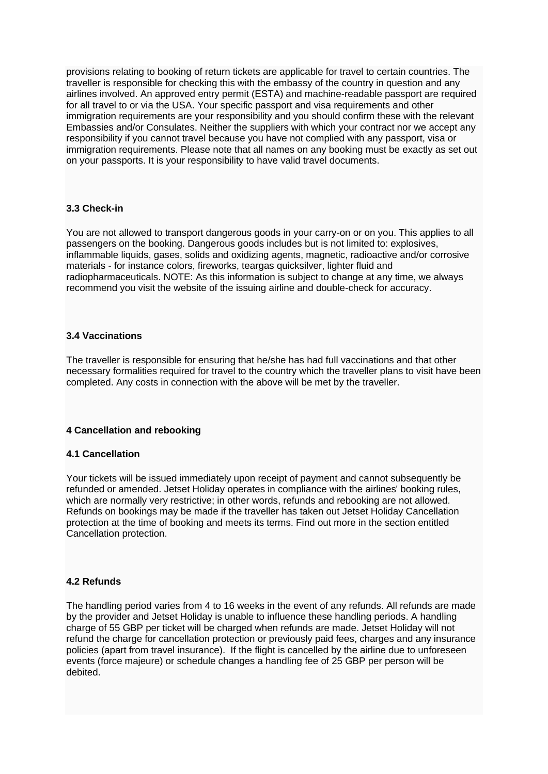provisions relating to booking of return tickets are applicable for travel to certain countries. The traveller is responsible for checking this with the embassy of the country in question and any airlines involved. An approved entry permit (ESTA) and machine-readable passport are required for all travel to or via the USA. Your specific passport and visa requirements and other immigration requirements are your responsibility and you should confirm these with the relevant Embassies and/or Consulates. Neither the suppliers with which your contract nor we accept any responsibility if you cannot travel because you have not complied with any passport, visa or immigration requirements. Please note that all names on any booking must be exactly as set out on your passports. It is your responsibility to have valid travel documents.

## **3.3 Check-in**

You are not allowed to transport dangerous goods in your carry-on or on you. This applies to all passengers on the booking. Dangerous goods includes but is not limited to: explosives, inflammable liquids, gases, solids and oxidizing agents, magnetic, radioactive and/or corrosive materials - for instance colors, fireworks, teargas quicksilver, lighter fluid and radiopharmaceuticals. NOTE: As this information is subject to change at any time, we always recommend you visit the website of the issuing airline and double-check for accuracy.

## **3.4 Vaccinations**

The traveller is responsible for ensuring that he/she has had full vaccinations and that other necessary formalities required for travel to the country which the traveller plans to visit have been completed. Any costs in connection with the above will be met by the traveller.

## **4 Cancellation and rebooking**

#### **4.1 Cancellation**

Your tickets will be issued immediately upon receipt of payment and cannot subsequently be refunded or amended. Jetset Holiday operates in compliance with the airlines' booking rules, which are normally very restrictive; in other words, refunds and rebooking are not allowed. Refunds on bookings may be made if the traveller has taken out Jetset Holiday Cancellation protection at the time of booking and meets its terms. Find out more in the section entitled Cancellation protection.

#### **4.2 Refunds**

The handling period varies from 4 to 16 weeks in the event of any refunds. All refunds are made by the provider and Jetset Holiday is unable to influence these handling periods. A handling charge of 55 GBP per ticket will be charged when refunds are made. Jetset Holiday will not refund the charge for cancellation protection or previously paid fees, charges and any insurance policies (apart from travel insurance). If the flight is cancelled by the airline due to unforeseen events (force majeure) or schedule changes a handling fee of 25 GBP per person will be debited.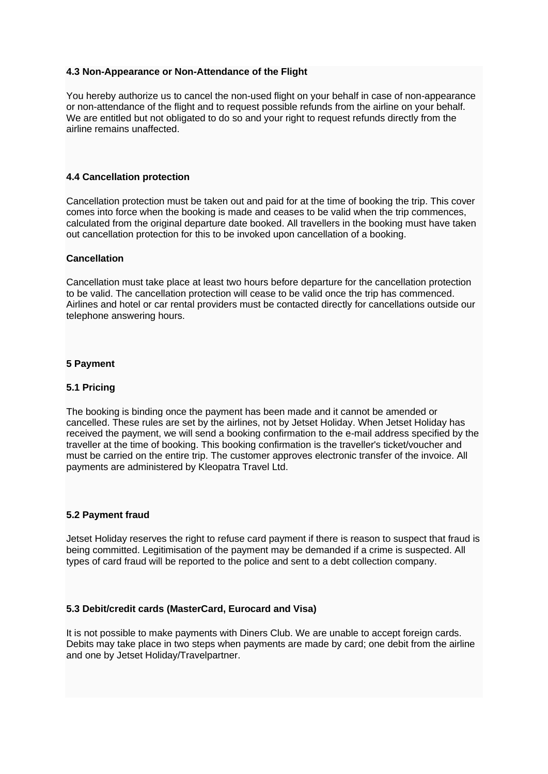### **4.3 Non-Appearance or Non-Attendance of the Flight**

You hereby authorize us to cancel the non-used flight on your behalf in case of non-appearance or non-attendance of the flight and to request possible refunds from the airline on your behalf. We are entitled but not obligated to do so and your right to request refunds directly from the airline remains unaffected.

### **4.4 Cancellation protection**

Cancellation protection must be taken out and paid for at the time of booking the trip. This cover comes into force when the booking is made and ceases to be valid when the trip commences, calculated from the original departure date booked. All travellers in the booking must have taken out cancellation protection for this to be invoked upon cancellation of a booking.

#### **Cancellation**

Cancellation must take place at least two hours before departure for the cancellation protection to be valid. The cancellation protection will cease to be valid once the trip has commenced. Airlines and hotel or car rental providers must be contacted directly for cancellations outside our telephone answering hours.

## **5 Payment**

### **5.1 Pricing**

The booking is binding once the payment has been made and it cannot be amended or cancelled. These rules are set by the airlines, not by Jetset Holiday. When Jetset Holiday has received the payment, we will send a booking confirmation to the e-mail address specified by the traveller at the time of booking. This booking confirmation is the traveller's ticket/voucher and must be carried on the entire trip. The customer approves electronic transfer of the invoice. All payments are administered by Kleopatra Travel Ltd.

#### **5.2 Payment fraud**

Jetset Holiday reserves the right to refuse card payment if there is reason to suspect that fraud is being committed. Legitimisation of the payment may be demanded if a crime is suspected. All types of card fraud will be reported to the police and sent to a debt collection company.

#### **5.3 Debit/credit cards (MasterCard, Eurocard and Visa)**

It is not possible to make payments with Diners Club. We are unable to accept foreign cards. Debits may take place in two steps when payments are made by card; one debit from the airline and one by Jetset Holiday/Travelpartner.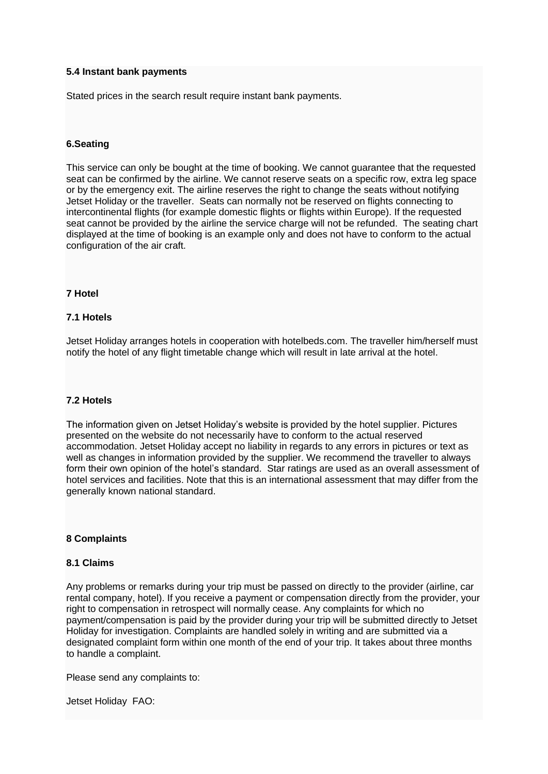### **5.4 Instant bank payments**

Stated prices in the search result require instant bank payments.

## **6.Seating**

This service can only be bought at the time of booking. We cannot guarantee that the requested seat can be confirmed by the airline. We cannot reserve seats on a specific row, extra leg space or by the emergency exit. The airline reserves the right to change the seats without notifying Jetset Holiday or the traveller. Seats can normally not be reserved on flights connecting to intercontinental flights (for example domestic flights or flights within Europe). If the requested seat cannot be provided by the airline the service charge will not be refunded. The seating chart displayed at the time of booking is an example only and does not have to conform to the actual configuration of the air craft.

#### **7 Hotel**

#### **7.1 Hotels**

Jetset Holiday arranges hotels in cooperation with hotelbeds.com. The traveller him/herself must notify the hotel of any flight timetable change which will result in late arrival at the hotel.

#### **7.2 Hotels**

The information given on Jetset Holiday's website is provided by the hotel supplier. Pictures presented on the website do not necessarily have to conform to the actual reserved accommodation. Jetset Holiday accept no liability in regards to any errors in pictures or text as well as changes in information provided by the supplier. We recommend the traveller to always form their own opinion of the hotel's standard. Star ratings are used as an overall assessment of hotel services and facilities. Note that this is an international assessment that may differ from the generally known national standard.

### **8 Complaints**

#### **8.1 Claims**

Any problems or remarks during your trip must be passed on directly to the provider (airline, car rental company, hotel). If you receive a payment or compensation directly from the provider, your right to compensation in retrospect will normally cease. Any complaints for which no payment/compensation is paid by the provider during your trip will be submitted directly to Jetset Holiday for investigation. Complaints are handled solely in writing and are submitted via a designated complaint form within one month of the end of your trip. It takes about three months to handle a complaint.

Please send any complaints to:

Jetset Holiday FAO: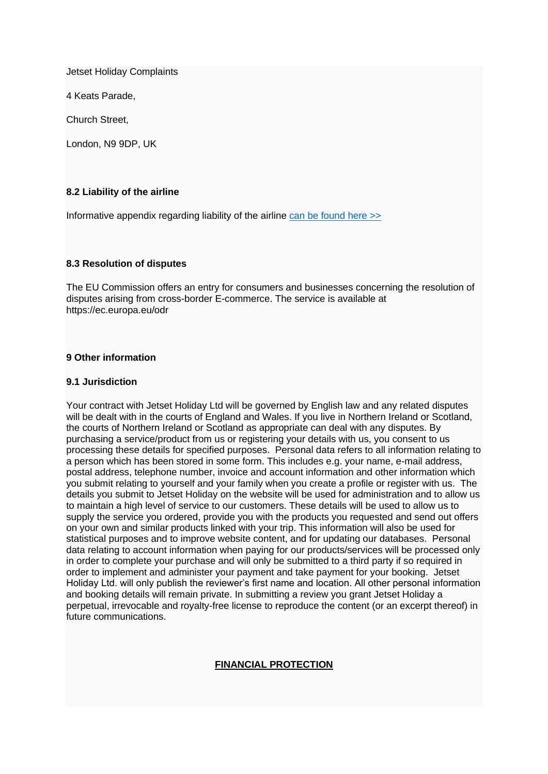Jetset Holiday Complaints

4 Keats Parade,

Church Street,

London, N9 9DP, UK

## **8.2 Liability of the airline**

Informative appendix regarding liability of the airline [can be found here >>](https://eur-lex.europa.eu/legal-content/EN/TXT/HTML/?uri=CELEX:32002R0889&from=EN)

#### **8.3 Resolution of disputes**

The EU Commission offers an entry for consumers and businesses concerning the resolution of disputes arising from cross-border E-commerce. The service is available at https://ec.europa.eu/odr

## **9 Other information**

#### **9.1 Jurisdiction**

Your contract with Jetset Holiday Ltd will be governed by English law and any related disputes will be dealt with in the courts of England and Wales. If you live in Northern Ireland or Scotland, the courts of Northern Ireland or Scotland as appropriate can deal with any disputes. By purchasing a service/product from us or registering your details with us, you consent to us processing these details for specified purposes. Personal data refers to all information relating to a person which has been stored in some form. This includes e.g. your name, e-mail address, postal address, telephone number, invoice and account information and other information which you submit relating to yourself and your family when you create a profile or register with us. The details you submit to Jetset Holiday on the website will be used for administration and to allow us to maintain a high level of service to our customers. These details will be used to allow us to supply the service you ordered, provide you with the products you requested and send out offers on your own and similar products linked with your trip. This information will also be used for statistical purposes and to improve website content, and for updating our databases. Personal data relating to account information when paying for our products/services will be processed only in order to complete your purchase and will only be submitted to a third party if so required in order to implement and administer your payment and take payment for your booking. Jetset Holiday Ltd. will only publish the reviewer's first name and location. All other personal information and booking details will remain private. In submitting a review you grant Jetset Holiday a perpetual, irrevocable and royalty-free license to reproduce the content (or an excerpt thereof) in future communications.

# **FINANCIAL PROTECTION**